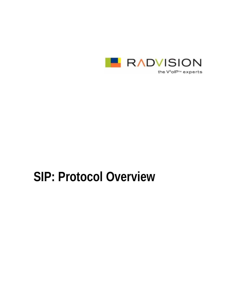

the V<sup>2</sup>olP<sup>™</sup> experts

# **SIP: Protocol Overview**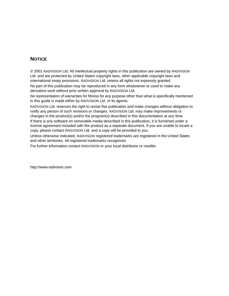### **NOTICE**

© 2001 RADVISION Ltd. All intellectual property rights in this publication are owned by RADVISION Ltd. and are protected by United States copyright laws, other applicable copyright laws and international treaty provisions. RADVISION Ltd. retains all rights not expressly granted.

No part of this publication may be reproduced in any form whatsoever or used to make any derivative work without prior written approval by RADVISION Ltd.

No representation of warranties for fitness for any purpose other than what is specifically mentioned in this guide is made either by RADVISION Ltd. or its agents.

RADVISION Ltd. reserves the right to revise this publication and make changes without obligation to notify any person of such revisions or changes. RADVISION Ltd. may make improvements or changes in the product(s) and/or the program(s) described in this documentation at any time.

If there is any software on removable media described in this publication, it is furnished under a license agreement included with the product as a separate document. If you are unable to locate a copy, please contact RADVISION Ltd. and a copy will be provided to you.

Unless otherwise indicated, RADVISION registered trademarks are registered in the United States and other territories. All registered trademarks recognized.

For further information contact RADVISION or your local distributor or reseller.

http://www.radvision.com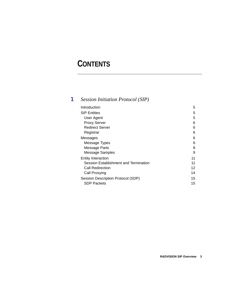## **CONTENTS**

### [1](#page-4-0) *[Session Initiation Protocol \(SIP\)](#page-4-1)*

| Introduction                          | 5  |
|---------------------------------------|----|
| <b>SIP Entities</b>                   | 5  |
| User Agent                            | 5  |
| <b>Proxy Server</b>                   | 6  |
| <b>Redirect Server</b>                | 6  |
| Registrar                             | 6  |
| Messages                              | 6  |
| Message Types                         | 6  |
| Message Parts                         | 8  |
| Message Samples                       | 9  |
| <b>Entity Interaction</b>             | 11 |
| Session Establishment and Termination | 11 |
| Call Redirection                      | 12 |
| Call Proxying                         | 14 |
| Session Description Protocol (SDP)    | 15 |
| <b>SDP Packets</b>                    | 15 |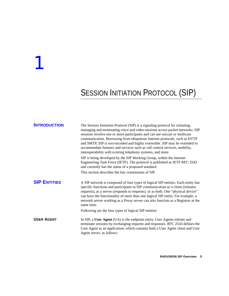## <span id="page-4-1"></span><span id="page-4-0"></span>**SESSION INITIATION PROTOCOL (SIP)**

<span id="page-4-4"></span><span id="page-4-3"></span><span id="page-4-2"></span>

| <b>INTRODUCTION</b> | The Session Initiation Protocol (SIP) is a signaling protocol for initiating,<br>managing and terminating voice and video sessions across packet networks. SIP<br>sessions involve one or more participants and can use unicast or multicast<br>communication. Borrowing from ubiquitous Internet protocols, such as HTTP<br>and SMTP, SIP is text-encoded and highly extensible. SIP may be extended to<br>accommodate features and services such as call control services, mobility,<br>interoperability with existing telephony systems, and more. |
|---------------------|-------------------------------------------------------------------------------------------------------------------------------------------------------------------------------------------------------------------------------------------------------------------------------------------------------------------------------------------------------------------------------------------------------------------------------------------------------------------------------------------------------------------------------------------------------|
|                     | SIP is being developed by the SIP Working Group, within the Internet<br>Engineering Task Force (IETF). The protocol is published as IETF RFC 2543<br>and currently has the status of a proposed standard.                                                                                                                                                                                                                                                                                                                                             |
|                     | This section describes the key constituents of SIP.                                                                                                                                                                                                                                                                                                                                                                                                                                                                                                   |
| <b>SIP ENTITIES</b> | A SIP network is composed of four types of logical SIP entities. Each entity has<br>specific functions and participates in SIP communication as a client (initiates<br>requests), as a server (responds to requests), or as both. One "physical device"<br>can have the functionality of more than one logical SIP entity. For example, a<br>network server working as a Proxy server can also function as a Registrar at the<br>same time.<br>Following are the four types of logical SIP entities:                                                  |
| <b>USER AGENT</b>   | In SIP, a User Agent (UA) is the endpoint entity. User Agents initiate and<br>terminate sessions by exchanging requests and responses. RFC 2543 defines the<br>User Agent as an application, which contains both a User Agent client and User<br>Agent server, as follows:                                                                                                                                                                                                                                                                            |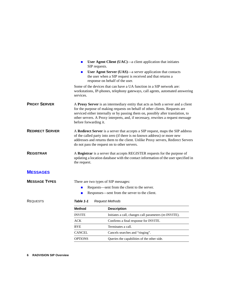<span id="page-5-4"></span><span id="page-5-3"></span><span id="page-5-2"></span><span id="page-5-1"></span><span id="page-5-0"></span>

|                        | SIP requests.                                                                                                                                                                                                                                                                                  | User Agent Client $(UAC)$ —a client application that initiates                                                                                                                                                                                                                                                                          |  |  |
|------------------------|------------------------------------------------------------------------------------------------------------------------------------------------------------------------------------------------------------------------------------------------------------------------------------------------|-----------------------------------------------------------------------------------------------------------------------------------------------------------------------------------------------------------------------------------------------------------------------------------------------------------------------------------------|--|--|
|                        |                                                                                                                                                                                                                                                                                                | User Agent Server (UAS)—a server application that contacts<br>the user when a SIP request is received and that returns a<br>response on behalf of the user.                                                                                                                                                                             |  |  |
|                        | services.                                                                                                                                                                                                                                                                                      | Some of the devices that can have a UA function in a SIP network are:<br>workstations, IP-phones, telephony gateways, call agents, automated answering                                                                                                                                                                                  |  |  |
| <b>PROXY SERVER</b>    | before forwarding it.                                                                                                                                                                                                                                                                          | A Proxy Server is an intermediary entity that acts as both a server and a client<br>for the purpose of making requests on behalf of other clients. Requests are<br>serviced either internally or by passing them on, possibly after translation, to<br>other servers. A Proxy interprets, and, if necessary, rewrites a request message |  |  |
| <b>REDIRECT SERVER</b> | A Redirect Server is a server that accepts a SIP request, maps the SIP address<br>of the called party into zero (if there is no known address) or more new<br>addresses and returns them to the client. Unlike Proxy servers, Redirect Servers<br>do not pass the request on to other servers. |                                                                                                                                                                                                                                                                                                                                         |  |  |
| <b>REGISTRAR</b>       | A Registrar is a server that accepts REGISTER requests for the purpose of<br>updating a location database with the contact information of the user specified in<br>the request.                                                                                                                |                                                                                                                                                                                                                                                                                                                                         |  |  |
| <b>MESSAGES</b>        |                                                                                                                                                                                                                                                                                                |                                                                                                                                                                                                                                                                                                                                         |  |  |
| <b>MESSAGE TYPES</b>   |                                                                                                                                                                                                                                                                                                | There are two types of SIP messages:                                                                                                                                                                                                                                                                                                    |  |  |
|                        |                                                                                                                                                                                                                                                                                                | Requests—sent from the client to the server.                                                                                                                                                                                                                                                                                            |  |  |
|                        |                                                                                                                                                                                                                                                                                                | Responses—sent from the server to the client.                                                                                                                                                                                                                                                                                           |  |  |
| <b>REQUESTS</b>        | Table 1-1                                                                                                                                                                                                                                                                                      | <b>Request Methods</b>                                                                                                                                                                                                                                                                                                                  |  |  |
|                        | Method                                                                                                                                                                                                                                                                                         | <b>Description</b>                                                                                                                                                                                                                                                                                                                      |  |  |
|                        | <b>INVITE</b>                                                                                                                                                                                                                                                                                  | Initiates a call, changes call parameters (re-INVITE).                                                                                                                                                                                                                                                                                  |  |  |
|                        | ACK                                                                                                                                                                                                                                                                                            | Confirms a final response for INVITE.                                                                                                                                                                                                                                                                                                   |  |  |
|                        | BYE                                                                                                                                                                                                                                                                                            | Terminates a call.                                                                                                                                                                                                                                                                                                                      |  |  |
|                        | CANCEL                                                                                                                                                                                                                                                                                         | Cancels searches and "ringing".                                                                                                                                                                                                                                                                                                         |  |  |
|                        | <b>OPTIONS</b>                                                                                                                                                                                                                                                                                 | Queries the capabilities of the other side.                                                                                                                                                                                                                                                                                             |  |  |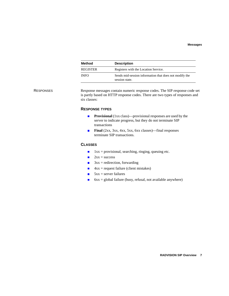| Method          | <b>Description</b>                                                       |
|-----------------|--------------------------------------------------------------------------|
| <b>REGISTER</b> | Registers with the Location Service.                                     |
| <b>INFO</b>     | Sends mid-session information that does not modify the<br>session state. |

#### RESPONSES Response messages contain numeric response codes. The SIP response code set is partly based on HTTP response codes. There are two types of responses and six classes:

#### **RESPONSE TYPES**

- **Provisional** (1xx class)—provisional responses are used by the server to indicate progress, but they do not terminate SIP transactions
- **Final** (2xx, 3xx, 4xx, 5xx, 6xx classes)—final responses terminate SIP transactions.

#### **CLASSES**

- $1xx =$  provisional, searching, ringing, queuing etc.
- $2xx = success$
- $3xx$  = redirection, forwarding
- $4xx =$  request failure (client mistakes)
- $5xx =$  server failures
- 6xx = global failure (busy, refusal, not available anywhere)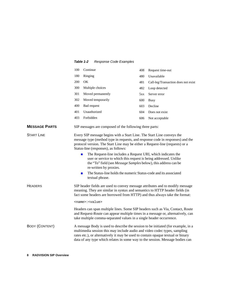#### *Table 1-2 Response Code Examples*

<span id="page-7-0"></span>

|                      | 100                                                                                                                                                                                                                                                                                                                                                                                                                                                                                                                                                                                                                                           | Continue                                                | 408 | Request time-out                    |
|----------------------|-----------------------------------------------------------------------------------------------------------------------------------------------------------------------------------------------------------------------------------------------------------------------------------------------------------------------------------------------------------------------------------------------------------------------------------------------------------------------------------------------------------------------------------------------------------------------------------------------------------------------------------------------|---------------------------------------------------------|-----|-------------------------------------|
|                      | 180                                                                                                                                                                                                                                                                                                                                                                                                                                                                                                                                                                                                                                           | Ringing                                                 | 480 | Unavailable                         |
|                      | 200                                                                                                                                                                                                                                                                                                                                                                                                                                                                                                                                                                                                                                           | <b>OK</b>                                               | 481 | Call-leg/Transaction does not exist |
|                      | 300                                                                                                                                                                                                                                                                                                                                                                                                                                                                                                                                                                                                                                           | Multiple choices                                        | 482 | Loop detected                       |
|                      | 301                                                                                                                                                                                                                                                                                                                                                                                                                                                                                                                                                                                                                                           | Moved permanently                                       | 5xx | Server error                        |
|                      | 302                                                                                                                                                                                                                                                                                                                                                                                                                                                                                                                                                                                                                                           | Moved temporarily                                       | 600 | <b>Busy</b>                         |
|                      | 400                                                                                                                                                                                                                                                                                                                                                                                                                                                                                                                                                                                                                                           | Bad request                                             | 603 | Decline                             |
|                      | 401                                                                                                                                                                                                                                                                                                                                                                                                                                                                                                                                                                                                                                           | Unauthorized                                            | 604 | Does not exist                      |
|                      | 403                                                                                                                                                                                                                                                                                                                                                                                                                                                                                                                                                                                                                                           | Forbidden                                               | 606 | Not acceptable                      |
| <b>MESSAGE PARTS</b> |                                                                                                                                                                                                                                                                                                                                                                                                                                                                                                                                                                                                                                               | SIP messages are composed of the following three parts: |     |                                     |
| <b>START LINE</b>    | Every SIP message begins with a Start Line. The Start Line conveys the<br>message type (method type in requests, and response code in responses) and the<br>protocol version. The Start Line may be either a Request-line (requests) or a<br>Status-line (responses), as follows:<br>The Request-line includes a Request URI, which indicates the<br>$\blacksquare$<br>user or service to which this request is being addressed. Unlike<br>the "To" field (see Message Samples below), this address can be<br>re-written by proxies.<br>The Status-line holds the numeric Status-code and its associated<br>$\blacksquare$<br>textual phrase. |                                                         |     |                                     |
|                      |                                                                                                                                                                                                                                                                                                                                                                                                                                                                                                                                                                                                                                               |                                                         |     |                                     |
|                      |                                                                                                                                                                                                                                                                                                                                                                                                                                                                                                                                                                                                                                               |                                                         |     |                                     |

HEADERS SIP header fields are used to convey message attributes and to modify message meaning. They are similar in syntax and semantics to HTTP header fields (in fact some headers are borrowed from HTTP) and thus always take the format:

<name>:<value>

Headers can span multiple lines. Some SIP headers such as Via, Contact, Route and Request-Route can appear multiple times in a message or, alternatively, can take multiple comma-separated values in a single header occurrence.

BODY (CONTENT) A message Body is used to describe the session to be initiated (for example, in a multimedia session this may include audio and video codec types, sampling rates etc.), or alternatively it may be used to contain opaque textual or binary data of any type which relates in some way to the session. Message bodies can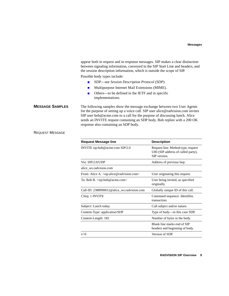<span id="page-8-0"></span>

|                        | appear both in request and in response messages. SIP makes a clear distinction<br>between signaling information, conveyed in the SIP Start Line and headers, and<br>the session description information, which is outside the scope of SIP.                                                                                                                     |                                                                                          |  |  |  |
|------------------------|-----------------------------------------------------------------------------------------------------------------------------------------------------------------------------------------------------------------------------------------------------------------------------------------------------------------------------------------------------------------|------------------------------------------------------------------------------------------|--|--|--|
|                        | Possible body types include:                                                                                                                                                                                                                                                                                                                                    |                                                                                          |  |  |  |
|                        | SDP—see Session Description Protocol (SDP).<br>$\blacksquare$                                                                                                                                                                                                                                                                                                   |                                                                                          |  |  |  |
|                        | ■                                                                                                                                                                                                                                                                                                                                                               | Multipurpose Internet Mail Extensions (MIME).                                            |  |  |  |
|                        | Others—to be defined in the IETF and in specific<br>$\blacksquare$<br>implementations.                                                                                                                                                                                                                                                                          |                                                                                          |  |  |  |
| <b>MESSAGE SAMPLES</b> | The following samples show the message exchange between two User Agents<br>for the purpose of setting up a voice call. SIP user alice@radvision.com invites<br>SIP user bob@acme.com to a call for the purpose of discussing lunch. Alice<br>sends an INVITE request containing an SDP body. Bob replies with a 200 OK<br>response also containing an SDP body. |                                                                                          |  |  |  |
| <b>REQUEST MESSAGE</b> |                                                                                                                                                                                                                                                                                                                                                                 |                                                                                          |  |  |  |
|                        | <b>Request Message line</b>                                                                                                                                                                                                                                                                                                                                     | <b>Description</b>                                                                       |  |  |  |
|                        | INVITE sip:bob@acme.com SIP/2.0                                                                                                                                                                                                                                                                                                                                 | Request line: Method type, request<br>URI (SIP address of called party),<br>SIP version. |  |  |  |
|                        | Via: SIP/2.0/UDP                                                                                                                                                                                                                                                                                                                                                | Address of previous hop.                                                                 |  |  |  |
|                        | alice_ws.radvision.com                                                                                                                                                                                                                                                                                                                                          |                                                                                          |  |  |  |
|                        | From: Alice A. <sip:alice@radvision.com><br/>User originating this request.</sip:alice@radvision.com>                                                                                                                                                                                                                                                           |                                                                                          |  |  |  |
|                        | To: Bob B. <sip:bob@acme.com></sip:bob@acme.com>                                                                                                                                                                                                                                                                                                                | User being invited, as specified<br>originally.                                          |  |  |  |
|                        | Call-ID: 2388990012@alice_ws.radvision.com                                                                                                                                                                                                                                                                                                                      | Globally unique ID of this call.                                                         |  |  |  |
|                        | CSeq: 1 INVITE                                                                                                                                                                                                                                                                                                                                                  | Command sequence. Identifies<br>transaction.                                             |  |  |  |
|                        | Subject: Lunch today.                                                                                                                                                                                                                                                                                                                                           | Call subject and/or nature.                                                              |  |  |  |
|                        | Content-Type: application/SDP                                                                                                                                                                                                                                                                                                                                   | Type of body-in this case SDP.                                                           |  |  |  |
|                        | Content-Length: 182                                                                                                                                                                                                                                                                                                                                             | Number of bytes in the body.                                                             |  |  |  |
|                        |                                                                                                                                                                                                                                                                                                                                                                 | Blank line marks end of SIP<br>headers and beginning of body.                            |  |  |  |

v=0 Version of SDP.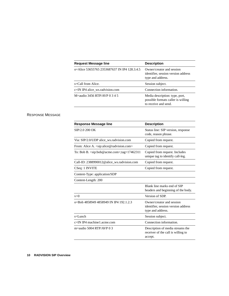| <b>Request Message line</b>                  | <b>Description</b>                                                                           |
|----------------------------------------------|----------------------------------------------------------------------------------------------|
| o=Alice 53655765 2353687637 IN IP4 128.3.4.5 | Owner/creator and session<br>identifier, session version address<br>type and address.        |
| $s =$ Call from Alice.                       | Session subject.                                                                             |
| c=IN IP4 alice_ws.radvision.com              | Connection information.                                                                      |
| M=audio 3456 RTP/AVP $0.345$                 | Media description: type, port,<br>possible formats caller is willing<br>to receive and send. |

#### RESPONSE MESSAGE

| <b>Response Message line</b>                                       | <b>Description</b>                                                                    |
|--------------------------------------------------------------------|---------------------------------------------------------------------------------------|
| SIP/2.0 200 OK                                                     | Status line: SIP version, response<br>code, reason phrase.                            |
| Via: SIP/2.0/UDP alice ws.radvision.com                            | Copied from request.                                                                  |
| From: Alice A. <sip:alice@radvision.com></sip:alice@radvision.com> | Copied from request.                                                                  |
| To: Bob B. $\langle$ sip:bob@acme.com>;tag=17462311                | Copied from request. Includes<br>unique tag to identify call-leg.                     |
| Call-ID: 2388990012@alice_ws.radvision.com                         | Copied from request.                                                                  |
| CSeq: 1 INVITE                                                     | Copied from request.                                                                  |
| Content-Type: application/SDP                                      |                                                                                       |
| Content-Length: 200                                                |                                                                                       |
|                                                                    | Blank line marks end of SIP<br>headers and beginning of the body.                     |
| $v=0$                                                              | Version of SDP.                                                                       |
| o=Bob 4858949 4858949 IN IP4 192.1.2.3                             | Owner/creator and session<br>identifier, session version address<br>type and address. |
| $s=$ Lunch                                                         | Session subject.                                                                      |
| $c=IN$ IP4 machine 1.acme.com                                      | Connection information.                                                               |
| m=audio 5004 RTP/AVP $0.3$                                         | Description of media streams the<br>receiver of the call is willing to<br>accept.     |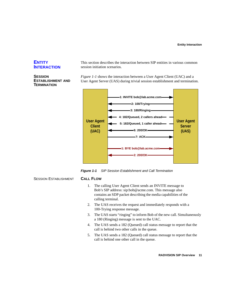#### <span id="page-10-0"></span>**ENTITY INTERACTION**

#### <span id="page-10-1"></span>**SESSION ESTABLISHMENT AND TERMINATION**

This section describes the interaction between SIP entities in various common session initiation scenarios.

*[Figure 1-1](#page-10-2)* shows the interaction between a User Agent Client (UAC) and a User Agent Server (UAS) during trivial session establishment and termination.



<span id="page-10-2"></span>*Figure 1-1 SIP Session Establishment and Call Termination*

SESSION ESTABLISHMENT **CALL FLOW**

- 1. The calling User Agent Client sends an INVITE message to Bob's SIP address: sip:bob@acme.com. This message also contains an SDP packet describing the media capabilities of the calling terminal.
- 2. The UAS receives the request and immediately responds with a 100-Trying response message.
- 3. The UAS starts "ringing" to inform Bob of the new call. Simultaneously a 180 (Ringing) message is sent to the UAC.
- 4. The UAS sends a 182 (Queued) call status message to report that the call is behind two other calls in the queue.
- 5. The UAS sends a 182 (Queued) call status message to report that the call is behind one other call in the queue.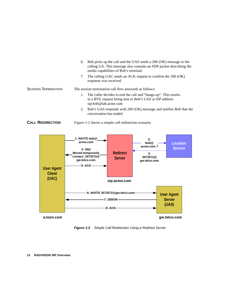|                            | 6. | Bob picks up the call and the UAS sends a 200 (OK) message to the<br>calling UA. This message also contains an SDP packet describing the<br>media capabilities of Bob's terminal. |
|----------------------------|----|-----------------------------------------------------------------------------------------------------------------------------------------------------------------------------------|
|                            | 7. | The calling UAC sends an ACK request to confirm the 200 (OK)<br>response was received.                                                                                            |
| <b>SESSION TERMINATION</b> |    | The session termination call flow proceeds as follows:                                                                                                                            |
|                            |    | The caller decides to end the call and "hangs-up". This results<br>in a BYE request being sent to Bob's UAS at SIP address<br>sip:bob@lab.acme.com                                |
|                            |    | Bob's UAS responds with 200 (OK) message and notifies Bob that the<br>conversation has ended.                                                                                     |

<span id="page-11-0"></span>



<span id="page-11-1"></span>*Figure 1-2 Simple Call Redirection Using a Redirect Server*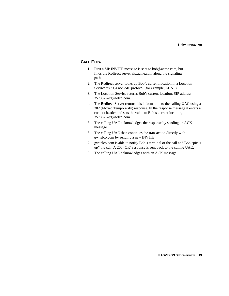#### **CALL FLOW**

- 1. First a SIP INVITE message is sent to bob@acme.com, but finds the Redirect server sip.acme.com along the signaling path.
- 2. The Redirect server looks up Bob's current location in a Location Service using a non-SIP protocol (for example, LDAP).
- 3. The Location Service returns Bob's current location: SIP address 3573572@gwtelco.com.
- 4. The Redirect Server returns this information to the calling UAC using a 302 (Moved Temporarily) response. In the response message it enters a contact header and sets the value to Bob's current location, 3573572@gwtelco.com.
- 5. The calling UAC acknowledges the response by sending an ACK message.
- 6. The calling UAC then continues the transaction directly with gw.telco.com by sending a new INVITE.
- 7. gw.telco.com is able to notify Bob's terminal of the call and Bob "picks up" the call. A 200 (OK) response is sent back to the calling UAC.
- 8. The calling UAC acknowledges with an ACK message.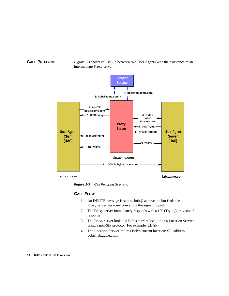<span id="page-13-0"></span>**CALL PROXYING** *[Figure 1-3](#page-13-1)* shows call set-up between two User Agents with the assistance of an intermediate Proxy server.



**a.toon.com**

**lab.acme.com**

<span id="page-13-1"></span>*Figure 1-3 Call Proxying Scenario*

#### **CALL FLOW**

- 1. An INVITE message is sent to bob@ acme.com, but finds the Proxy server sip.acme.com along the signaling path.
- 2. The Proxy server immediately responds with a 100 (Trying) provisional response.
- 3. The Proxy server looks-up Bob's current location in a Location Service using a non-SIP protocol (For example, LDAP).
- 4. The Location Service returns Bob's current location: SIP address bob@lab.acme.com.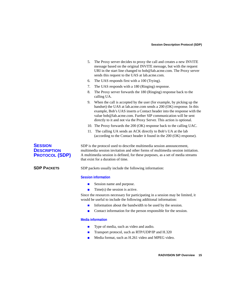- 5. The Proxy server decides to proxy the call and creates a new INVITE message based on the original INVITE message, but with the request URI in the start line changed to bob@lab.acme.com. The Proxy server sends this request to the UAS at lab.acme.com.
- 6. The UAS responds first with a 100 (Trying).
- 7. The UAS responds with a 180 (Ringing) response.
- 8. The Proxy server forwards the 180 (Ringing) response back to the calling UA.
- 9. When the call is accepted by the user (for example, by picking up the handset) the UAS at lab.acme.com sends a 200 (OK) response. In this example, Bob's UAS inserts a Contact header into the response with the value bob@lab.acme.com. Further SIP communication will be sent directly to it and not via the Proxy Server. This action is optional.
- 10. The Proxy forwards the 200 (OK) response back to the calling UAC.
- 11. The calling UA sends an ACK directly to Bob's UA at the lab (according to the Contact header it found in the 200 (OK) response).

<span id="page-14-0"></span>**SESSION DESCRIPTION PROTOCOL (SDP)** SDP is the protocol used to describe multimedia session announcement, multimedia session invitation and other forms of multimedia session initiation. A multimedia session is defined, for these purposes, as a set of media streams that exist for a duration of time.

<span id="page-14-1"></span>**SDP PACKETS** SDP packets usually include the following information:

#### **Session information**

- Session name and purpose.
- $\blacksquare$  Time(s) the session is active.

Since the resources necessary for participating in a session may be limited, it would be useful to include the following additional information:

- Information about the bandwidth to be used by the session.
- Contact information for the person responsible for the session.

#### **Media information**

- Type of media, such as video and audio.
- **Transport protocol, such as RTP/UDP/IP and H.320**
- Media format, such as H.261 video and MPEG video.